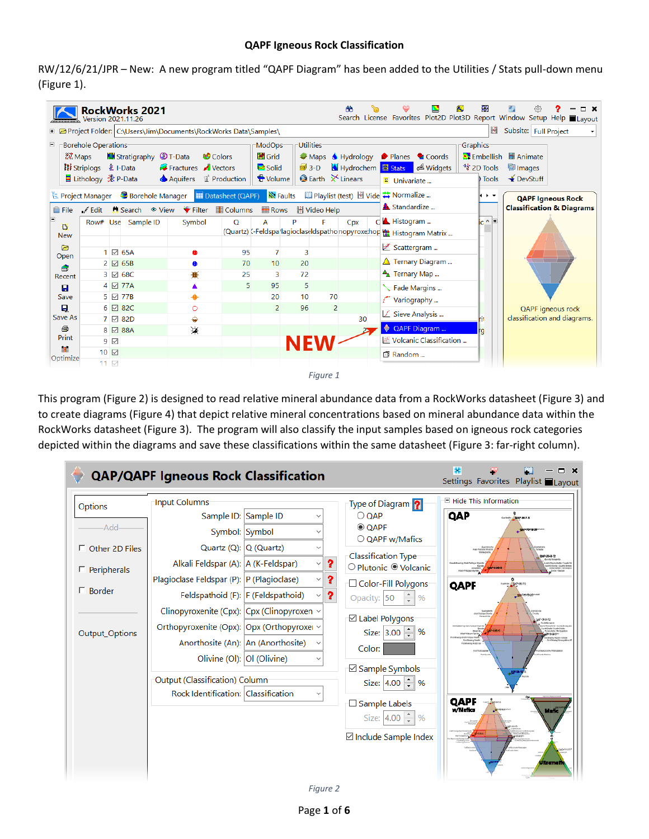## **QAPF Igneous Rock Classification**

RW/12/6/21/JPR – New: A new program titled "QAPF Diagram" has been added to the Utilities / Stats pull-down menu [\(Figure 1\)](#page-0-0).

| 88<br>르<br>æ<br>563<br><b>RockWorks 2021</b><br>□ ×<br>Search License Favorites Plot2D Plot3D Report Window Setup Help Layout<br>Version 2021.11.26<br>Н<br>Subsite: Full Project<br>T @ Project Folder: C:\Users\Jim\Documents\RockWorks Data\Samples\              |            |                            |                    |              |                                                                                                        |                      |         |                                                                                |                      |                                                                                                                       |                                                                                              |                                                                                          |                                                                  |  |
|----------------------------------------------------------------------------------------------------------------------------------------------------------------------------------------------------------------------------------------------------------------------|------------|----------------------------|--------------------|--------------|--------------------------------------------------------------------------------------------------------|----------------------|---------|--------------------------------------------------------------------------------|----------------------|-----------------------------------------------------------------------------------------------------------------------|----------------------------------------------------------------------------------------------|------------------------------------------------------------------------------------------|------------------------------------------------------------------|--|
| <b>Borehole Operations</b><br>Ξ<br><b>Note of Stratigraphy C</b> T-Data<br><b>Colors</b><br>2. Maps<br><b>II</b> Striplogs <b>主</b> I-Data<br>Fractures Vectors<br>◆ Aquifers ■ Production<br>Datasheet (QAPF)<br><b>E</b> Project Manager <b>B</b> Borehole Manager |            |                            |                    |              | Utilities <sup>-</sup><br>ModOps <sup>-</sup><br>₩ Grid<br>$\Box$ Solid<br>$3-D$<br>Volume<br>N Faults |                      |         | Maps Hydrology<br>Hydrochem <b>E</b> Stats<br>$\bullet$ Earth $\times$ Linears |                      | Planes<br><sup>2</sup> Coords<br>Midgets<br>E Univariate<br><b>■ Playlist (test) <u>H</u></b> Vide <b> Normalize </b> | Graphics<br>*** 2D Tools<br>Tools<br>$\rightarrow$                                           | <b>C</b> Embellish <b>B</b> Animate<br><sup>t</sup> ill Images<br>$\rightarrow$ DevStuff |                                                                  |  |
| <b>■ File</b>                                                                                                                                                                                                                                                        | Jesse Edit |                            |                    |              | Columns                                                                                                | <b>Rows</b>          |         | H Video Help                                                                   |                      |                                                                                                                       | Standardize                                                                                  |                                                                                          | <b>QAPF Igneous Rock</b><br><b>Classification &amp; Diagrams</b> |  |
| ħ<br><b>New</b>                                                                                                                                                                                                                                                      |            |                            | Row# Use Sample ID | Symbol       | O                                                                                                      | А                    | Þ       | F                                                                              | Cpx                  |                                                                                                                       | d <b>A</b> Histogram<br>(Quartz) <- Feldspa'lagioclaseldspathonopyroxe.hop (Makedoram Matrix | $ c \wedge   \mathbb{E} $                                                                | <b>QAPF</b> igneous rock<br>classification and diagrams.         |  |
| ▶<br>Open                                                                                                                                                                                                                                                            |            |                            | 1 ⊠ 65A<br>2 2 65B |              | 95<br>70                                                                                               | $\overline{7}$<br>10 | 3<br>20 |                                                                                |                      |                                                                                                                       | ■ Scattergram<br>Ternary Diagram                                                             |                                                                                          |                                                                  |  |
| ê<br>Recent                                                                                                                                                                                                                                                          |            |                            | 3 ☑ 68C<br>4 ⊠ 77A | ₩            | 25<br>5                                                                                                | 3<br>95              | 72<br>5 |                                                                                |                      |                                                                                                                       | $A_{\Lambda}$ Ternary Map                                                                    |                                                                                          |                                                                  |  |
| $\blacksquare$<br>Save                                                                                                                                                                                                                                               |            |                            | 5 ⊠ 77B            | ♠            |                                                                                                        | 20                   | 10      | 70                                                                             |                      |                                                                                                                       | Fade Margins<br>Variography                                                                  |                                                                                          |                                                                  |  |
| Ω<br>Save As                                                                                                                                                                                                                                                         |            |                            | 6 ⊠ 82C<br>7 ☑ 82D | $\circ$<br>♦ |                                                                                                        | 2                    | 96      |                                                                                | $\overline{2}$<br>30 |                                                                                                                       | $\angle$ Sieve Analysis                                                                      |                                                                                          |                                                                  |  |
| 鱼<br>Print                                                                                                                                                                                                                                                           |            | $9$ $\vee$                 | 8 ⊡ 88A            | 谨            |                                                                                                        |                      |         |                                                                                |                      |                                                                                                                       | QAPF Diagram<br>■ Volcanic Classification                                                    |                                                                                          |                                                                  |  |
| Optimize                                                                                                                                                                                                                                                             |            | $10$ $\Box$<br>$11$ $\vee$ |                    |              |                                                                                                        |                      |         |                                                                                |                      |                                                                                                                       | 同 Random                                                                                     |                                                                                          |                                                                  |  |
|                                                                                                                                                                                                                                                                      |            |                            |                    |              |                                                                                                        |                      |         | Figure 1                                                                       |                      |                                                                                                                       |                                                                                              |                                                                                          |                                                                  |  |

<span id="page-0-0"></span>This program [\(Figure 2\)](#page-0-1) is designed to read relative mineral abundance data from a RockWorks datasheet [\(Figure 3\)](#page-1-0) and to create diagrams [\(Figure 4\)](#page-2-0) that depict relative mineral concentrations based on mineral abundance data within the RockWorks datasheet [\(Figure 3\)](#page-1-0). The program will also classify the input samples based on igneous rock categories depicted within the diagrams and save these classifications within the same datasheet [\(Figure 3:](#page-1-0) far-right column).

<span id="page-0-1"></span>

| <b>QAP/QAPF Igneous Rock Classification</b>                                                                                                                                                                                                                                                                                                                                                                                                                                                                                                                                                                                                                                                                          | ×<br>Ó<br>x<br>Settings Favorites Playlist Layout                                                                                                                                                                                                                                                                                                                                                                                                                                                                                                                                                                                                                                                                                                                                                                                             |
|----------------------------------------------------------------------------------------------------------------------------------------------------------------------------------------------------------------------------------------------------------------------------------------------------------------------------------------------------------------------------------------------------------------------------------------------------------------------------------------------------------------------------------------------------------------------------------------------------------------------------------------------------------------------------------------------------------------------|-----------------------------------------------------------------------------------------------------------------------------------------------------------------------------------------------------------------------------------------------------------------------------------------------------------------------------------------------------------------------------------------------------------------------------------------------------------------------------------------------------------------------------------------------------------------------------------------------------------------------------------------------------------------------------------------------------------------------------------------------------------------------------------------------------------------------------------------------|
| Input Columns<br>Options<br>Sample ID: Sample ID<br>$\checkmark$<br>Add <sub></sub><br>Symbol: Symbol<br>$\checkmark$<br>Quartz (Q): $ Q (Quartz)$<br>$\Box$ Other 2D Files<br><sup>2</sup><br>Alkali Feldspar (A):   A (K-Feldspar)<br>$\checkmark$<br>$\Box$ Peripherals<br><sup>2</sup><br>Plagioclase Feldspar (P):  P (Plagioclase)<br>$\checkmark$<br>$\Box$ Border<br><sup>2</sup><br>Feldspathoid (F): F (Feldspathoid)<br>$\checkmark$<br>Clinopyroxenite (Cpx): $ Cpx $ (Clinopyroxen $\vee$<br>Orthopyroxenite (Opx): Opx (Orthopyroxer v<br>Output_Options<br>Anorthosite (An): An (Anorthosite)<br>Olivine (OI):  OI (Olivine)<br>Output (Classification) Column<br>Rock Identification: Classification | Hide This Information<br>Type of Diagram<br>QAP<br>$\bigcirc$ QAP<br>$C2 = 0.75$<br>© QAPF<br><b>ОДРЕБУВЕВИЛИС</b><br>○ QAPF w/Mafics<br><b>Lomatoris</b><br><b>Classification Type</b><br>06P/8-3-72<br>O Plutonic <sup>O</sup> Volcanic<br><b>PERSONAL LIGHTS DINNY</b><br><b>OFFICE</b><br><b><i>STARTING</i></b><br><b><i>STERLOOMS CONTINUES</i></b><br>$\frac{1}{2} 2^{16} + 6636$<br>□ Color-Fill Polygons<br>QAPF<br><b>De Interbationale</b><br>Opacity: 50<br>$\%$<br>ish Palabasa Sharib<br><b>E</b> Label Polygons<br>Size: $3.00 \div$<br>%<br><b>Window</b><br><b>CONTRACTOR</b><br>Paid Dealer Roads<br>Fold-Making Workship<br>Color:<br>⊠ Sample Symbols <sup>-</sup><br>Size: $4.00 \div$<br>%<br>QAPF<br>□ Sample Labels<br>w/Mafica<br>Mafic<br>Size: $4.00 \div$<br>%<br>001034000<br>⊠ Include Sample Index<br>iltramai |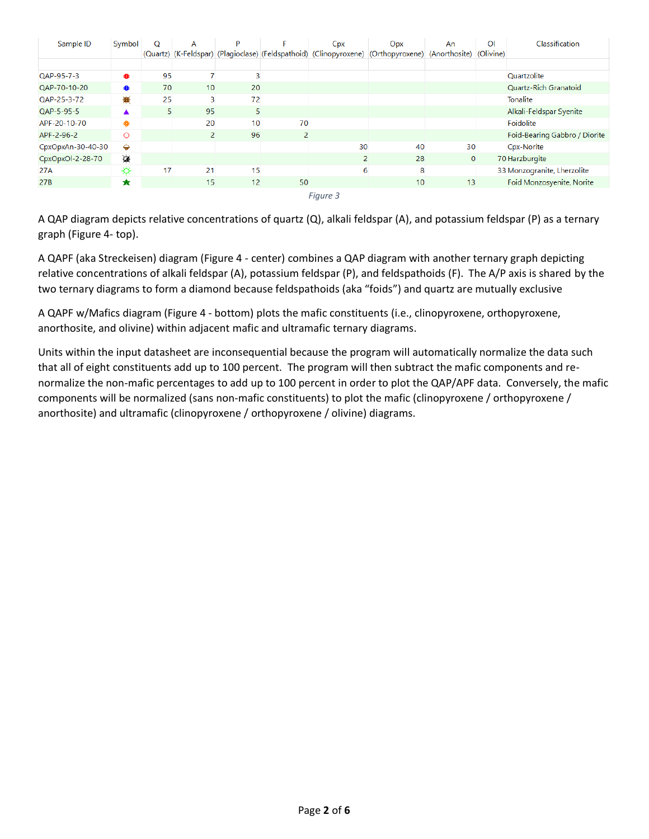| Sample ID         | Symbol  | O  | A  | P  | Е  | Cpx                                                                                              | Opx             | An           | $\overline{O}$ | Classification                |
|-------------------|---------|----|----|----|----|--------------------------------------------------------------------------------------------------|-----------------|--------------|----------------|-------------------------------|
|                   |         |    |    |    |    | (Quartz) (K-Feldspar) (Plagioclase) (Feldspathoid) (Clinopyroxene) (Orthopyroxene) (Anorthosite) |                 |              | (Olivine)      |                               |
|                   |         |    |    |    |    |                                                                                                  |                 |              |                |                               |
| QAP-95-7-3        | ⊕       | 95 | 7  | 3  |    |                                                                                                  |                 |              |                | <b>Quartzolite</b>            |
| QAP-70-10-20      | ●       | 70 | 10 | 20 |    |                                                                                                  |                 |              |                | Quartz-Rich Granatoid         |
| QAP-25-3-72       | 漸       | 25 | 3  | 72 |    |                                                                                                  |                 |              |                | <b>Tonalite</b>               |
| QAP-5-95-5        |         | 5  | 95 | 5  |    |                                                                                                  |                 |              |                | Alkali-Feldspar Syenite       |
| APF-20-10-70      |         |    | 20 | 10 | 70 |                                                                                                  |                 |              |                | Foidolite                     |
| APF-2-96-2        | $\circ$ |    | 2  | 96 | 2  |                                                                                                  |                 |              |                | Foid-Bearing Gabbro / Diorite |
| CpxOpxAn-30-40-30 | ⇔       |    |    |    |    | 30                                                                                               | 40              | 30           |                | Cpx-Norite                    |
| CpxOpxOl-2-28-70  | 谨       |    |    |    |    | 2                                                                                                | 28              | $\mathbf{0}$ |                | 70 Harzburgite                |
| 27A               | ☼       | 17 | 21 | 15 |    | 6                                                                                                | 8               |              |                | 33 Monzogranite, Lherzolite   |
| 27B               | ★       |    | 15 | 12 | 50 |                                                                                                  | 10 <sup>1</sup> | 13           |                | Foid Monzosyenite, Norite     |
|                   |         |    |    |    |    | Figure 3                                                                                         |                 |              |                |                               |

<span id="page-1-0"></span>A QAP diagram depicts relative concentrations of quartz (Q), alkali feldspar (A), and potassium feldspar (P) as a ternary graph [\(Figure 4-](#page-2-0) top).

A QAPF (aka Streckeisen) diagram [\(Figure 4](#page-2-0) - center) combines a QAP diagram with another ternary graph depicting relative concentrations of alkali feldspar (A), potassium feldspar (P), and feldspathoids (F). The A/P axis is shared by the two ternary diagrams to form a diamond because feldspathoids (aka "foids") and quartz are mutually exclusive

A QAPF w/Mafics diagram [\(Figure 4](#page-2-0) - bottom) plots the mafic constituents (i.e., clinopyroxene, orthopyroxene, anorthosite, and olivine) within adjacent mafic and ultramafic ternary diagrams.

Units within the input datasheet are inconsequential because the program will automatically normalize the data such that all of eight constituents add up to 100 percent. The program will then subtract the mafic components and renormalize the non-mafic percentages to add up to 100 percent in order to plot the QAP/APF data. Conversely, the mafic components will be normalized (sans non-mafic constituents) to plot the mafic (clinopyroxene / orthopyroxene / anorthosite) and ultramafic (clinopyroxene / orthopyroxene / olivine) diagrams.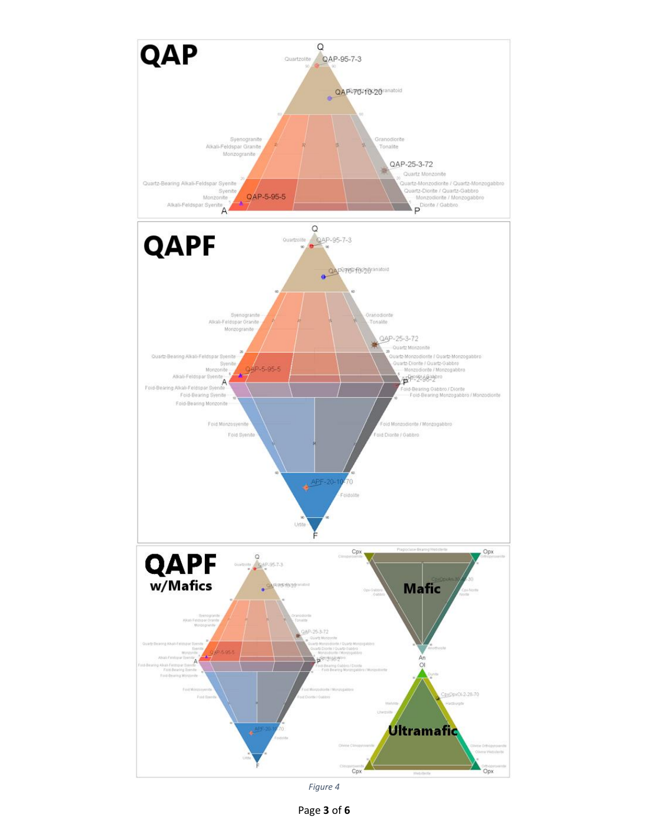

<span id="page-2-0"></span>*Figure 4*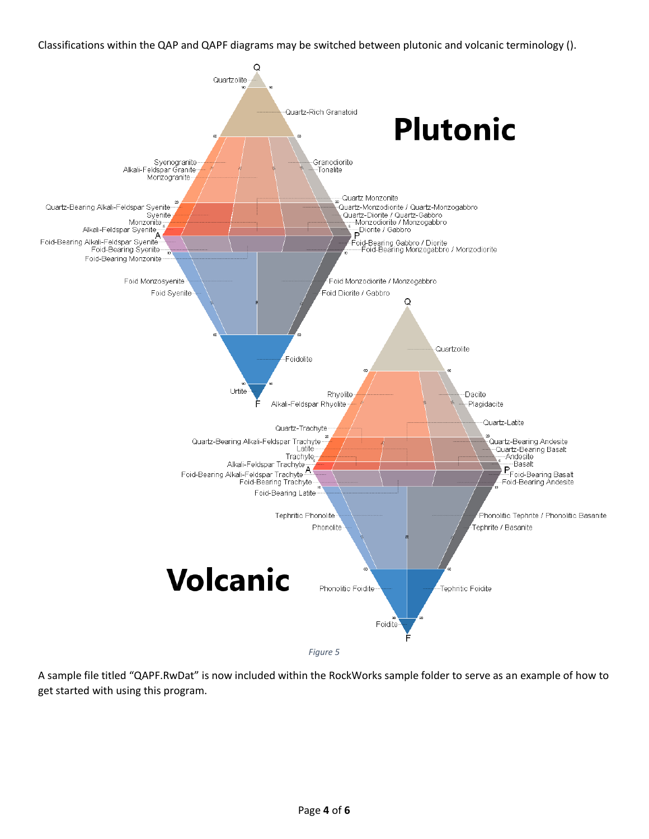Classifications within the QAP and QAPF diagrams may be switched between plutonic and volcanic terminology ().



A sample file titled "QAPF.RwDat" is now included within the RockWorks sample folder to serve as an example of how to get started with using this program.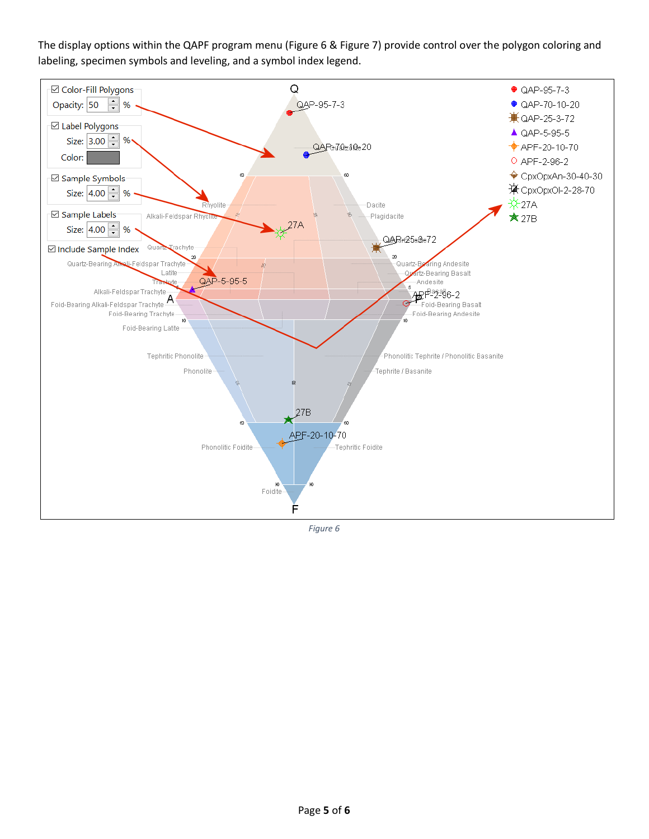The display options within the QAPF program menu [\(Figure 6](#page-4-0) & [Figure 7\)](#page-5-0) provide control over the polygon coloring and labeling, specimen symbols and leveling, and a symbol index legend.



<span id="page-4-0"></span>*Figure 6*